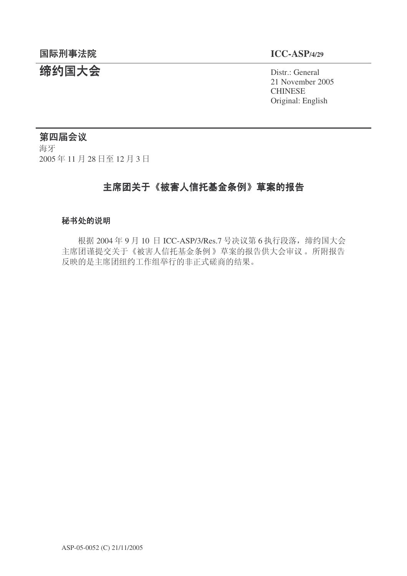## 䰙ߥџ⊩䰶 **ICC-ASP/4/29**

# **缔约国大会**<br>◆ Distr.: General

21 November 2005 **CHINESE** Original: English

## 第四届会议

海牙 2005年11月28日至12月3日

## 主席团关于《被害人信托基金条例》草案的报告

#### 秘书处的说明

根据 2004年9月10日 ICC-ASP/3/Res.7 号决议第6执行段落, 缔约国大会 主席团谨提交关于《被害人信托基金条例》草案的报告供大会审议。所附报告 反映的是主席团纽约工作组举行的非正式磋商的结果。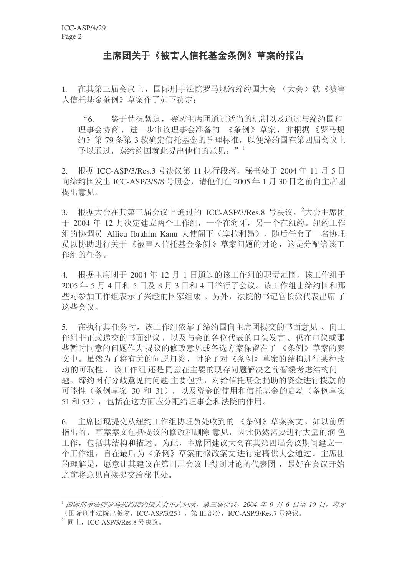## 主席团关于《被害人信托基金条例》草案的报告

1. 在其第三届会议上, 国际刑事法院罗马规约缔约国大会 (大会) 就《被害 人信托基金条例》草案作了如下决定:

"6. 鉴于情况紧迫, 要求主席团通过适当的机制以及通过与缔约国和 理事会协商, 进一步审议理事会准备的 《条例》草案, 并根据《罗马规 约》第79条第3款确定信托基金的管理标准,以便缔约国在第四届会议上 予以通过, 清缔约国就此提出他们的意见: "<sup>1</sup>

2. 根据 ICC-ASP/3/Res.3 号决议第 11 执行段落, 秘书处于 2004 年 11 月 5 日 向缔约国发出 ICC-ASP/3/S/8 号照会, 请他们在 2005 年 1 月 30 日之前向主席团 提出意见。

3. 根据大会在其第三届会议上通过的 ICC-ASP/3/Res.8 号决议, <sup>2</sup>大会主席团 于 2004 年 12 月决定建立两个工作组, 一个在海牙, 另一个在纽约。纽约工作 组的协调员 Allieu Ibrahim Kanu 大使阁下(塞拉利昂), 随后任命了一名协理 员以协助讲行关于《被害人信托基金条例》草案问题的讨论, 这是分配给该工 作组的仟务。

4. 根据主席团于 2004 年 12 月 1 日通过的该工作组的职责范围, 该工作组干 2005年5月4日和5日及8月3日和4日举行了会议。该工作组由缔约国和那 些对参加工作组表示了兴趣的国家组成。另外, 法院的书记官长派代表出席了 这些会议。

5. 在执行其任务时,该工作组依靠了缔约国向主席团提交的书面意见、向工 作组非正式递交的书面建议, 以及与会的各位代表的口头发言。仍在审议或那 些暂时同意的问题作为提议的修改意见或备选方案保留在了《条例》草案的案 文中。虽然为了将有关的问题归类, 讨论了对《条例》草案的结构进行某种改 动的可取性, 该工作组还是同意在主要的现存问题解决之前暂缓考虑结构问 题。缔约国有分歧意见的问题主要包括,对给信托基金捐助的资金进行拨款的 可能性(条例草案 30 和 31), 以及资金的使用和信托基金的启动(条例草案 51 和 53), 包括在这方面应分配给理事会和法院的作用。

6. 主席团现提交从纽约工作组协理员处收到的 《条例》草案案文。如以前所 指出的, 草案案文包括提议的修改和删除意见, 因此仍然需要进行大量的润色 工作, 包括其结构和描述。为此, 主席团建议大会在其第四届会议期间建立一 个工作组, 旨在最后为《条例》草案的修改案文讲行定稿供大会通过。主席团 的理解是, 愿意让其建议在第四届会议上得到讨论的代表团, 最好在会议开始 之前将意见直接提交给秘书处。

<sup>&</sup>lt;sup>1</sup> 国际刑事法院罗马规约缔约国大会正式记录, 第三届会议, 2004 年 9 月 6 日至 10 日, 海牙 (国际刑事法院出版物, ICC-ASP/3/25), 第 III 部分, ICC-ASP/3/Res.7 号决议。

 $^2$  同上, ICC-ASP/3/Res.8 号决议。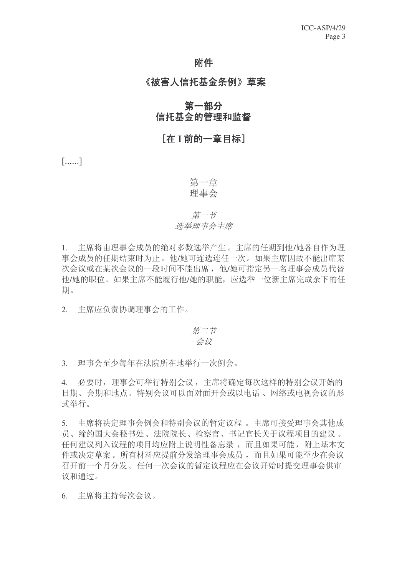## 附件

#### 《被害人信托基金条例》草案

## 第一部分 信托基金的管理和监督

## **I在I前的一章目标**】

[......]

## 第一章 理事会

## 第一节 选举理事会主席

1. 主席将由理事会成员的绝对多数选举产生。主席的任期到他/她各自作为理 事会成员的任期结束时为止。他/她可连选连任一次。如果主席因故不能出席某 次会议或在某次会议的一段时间不能出席, 他/她可指定另一名理事会成员代替 他/她的职位。如果主席不能履行他/她的职能,应选举一位新主席完成余下的任 期。

2. 主席应负责协调理事会的工作。

# 第二节

## $\n *W*\n$

3. 理事会至少每年在法院所在地举行一次例会。

4. 必要时,理事会可举行特别会议,主席将确定每次这样的特别会议开始的 日期、会期和地点。特别会议可以面对面开会或以电话、网络或电视会议的形 式举行。

5. 主席将决定理事会例会和特别会议的暂定议程。 主席可接受理事会其他成 员、缔约国大会秘书处、法院院长、检察官、书记官长关于议程项目的建议。 任何建议列入议程的项目均应附上说明性备忘录,而且如果可能,附上基本文 件或决定草案。所有材料应提前分发给理事会成员,而且如果可能至少在会议 召开前一个月分发。任何一次会议的暂定议程应在会议开始时提交理事会供审 议和通过。

6. 主席将主持每次会议。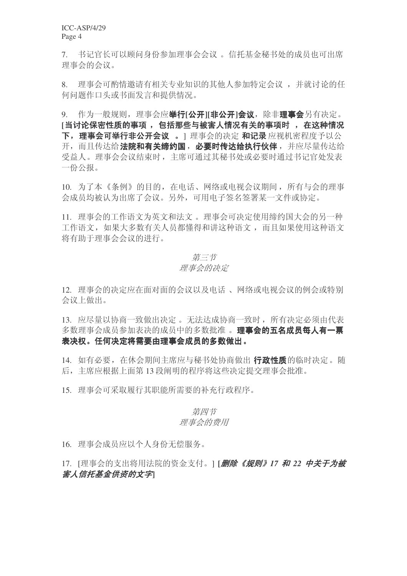7. 书记官长可以顾问身份参加理事会会议。信托基金秘书处的成员也可出席 理事会的会议。

8. 理事会可酌情邀请有相关专业知识的其他人参加特定会议,并就讨论的任 何问题作口头或书面发言和提供情况。

9. 作为一般规则,理事会应举行[公开][非公开]会议,除非理事会另有决定。 [当讨论保密性质的事项, 包括那些与被害人情况有关的事项时, 在这种情况 下, 理事会可举行非公开会议。1 理事会的决定 和记录 应视机密程度予以公 开, 而且传达给法院和有关缔约国, 必要时传达给执行伙伴, 并应尽量传达给 受益人。理事会会议结束时, 主席可通过其秘书处或必要时通过书记官处发表 一份公报。

10. 为了本《条例》的目的, 在电话、网络或电视会议期间, 所有与会的理事 会成员均被认为出席了会议。另外,可用电子签名签署某一文件或协定。

11. 理事会的工作语文为英文和法文。理事会可决定使用缔约国大会的另一种 工作语文,如果大多数有关人员都懂得和讲这种语文,而且如果使用这种语文 将有助于理事会会议的讲行。

#### 第三节

#### 理事会的决定

12. 理事会的决定应在面对面的会议以及电话、网络或电视会议的例会或特别 会议上做出。

13. 应尽量以协商一致做出决定。无法达成协商一致时, 所有决定必须由代表 多数理事会成员参加表决的成员中的多数批准。理事会的五名成员每人有一票 表决权。任何决定将需要由理事会成员的多数做出。

14. 如有必要, 在休会期间主席应与秘书处协商做出 行政性质的临时决定。随 后, 主席应根据上面第13 段阐明的程序将这些决定提交理事会批准。

15. 理事会可采取履行其职能所需要的补充行政程序。

#### 第四节 理事会的费用

16. 理事会成员应以个人身份无偿服务。

## 17. [理事会的支出将用法院的资金支付。1 [*删除《规则》17 和 22 中关于为被 害人信托基金供资的文字*|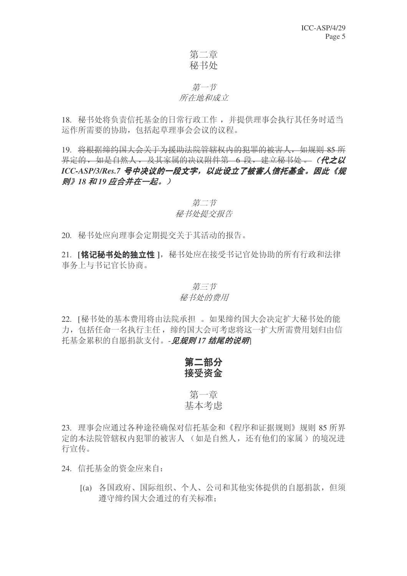## 第二章 秘书处

## 第一节 所在地和成立

18. 秘书处将负责信托基金的日常行政工作, 并提供理事会执行其任务时适当 运作所需要的协助, 包括起草理事会会议的议程。

19. 将根据缔约国大会关于为援助法院管辖权内的犯罪的被害人, 如规则 85 所 界定的, 如是自然人, 及其家属的决议附件第 6 段, 建立秘书处 。(**代之以** ICC-ASP/3/Res.7 号中决议的一段文字, 以此设立了被害人信托基金。因此《规 *则》18 和19 应合并在一起。)* 

## 第二节 秘书处提交报告

20. 秘书处应向理事会定期提交关于其活动的报告。

21. **[铭记秘书处的独立性** ], 秘书处应在接受书记官处协助的所有行政和法律 事务上与书记官长协商。

## 第三节 秘书处的费用

22. [秘书处的基本费用将由法院承担。如果缔约国大会决定扩大秘书处的能 力, 包括任命一名执行主任, 缔约国大会可考虑将这一扩大所需费用划归由信 托基金累积的自愿捐款支付。- 见规则 17 结尾的说明

## 第二部分 接受资金

## 第一音 基本考虑

23. 理事会应通过各种途径确保对信托基金和《程序和证据规则》规则 85 所界 定的本法院管辖权内犯罪的被害人 (如是自然人, 还有他们的家属) 的境况进 行宣传。

24. 信托基金的资金应来自:

[(a) 各国政府、国际组织、个人、公司和其他实体提供的自愿捐款, 但须 遵守缔约国大会通过的有关标准: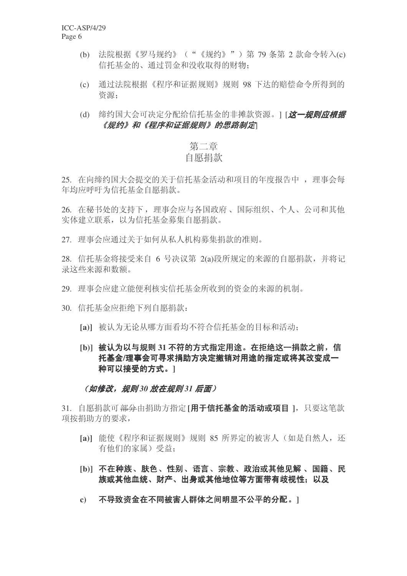- (b) 法院根据《罗马规约》("《规约》")第79 条第 2 款命令转入(c) 信托基金的、通过罚金和没收取得的财物:
- (c) 通过法院根据《程序和证据规则》规则 98 下达的赔偿命令所得到的 咨源:
- (d) 缔约国大会可决定分配给信托基金的非摊款资源。1[*这一规则应根据* 《规约》和《程序和证据规则》的思路制定\

## 第二章 白愿捐款

25. 在向缔约国大会提交的关于信托基金活动和项目的年度报告中, 理事会每 年均应呼吁为信托基金自愿捐款。

26. 在秘书处的支持下, 理事会应与各国政府、国际组织、个人、公司和其他 实体建立联系, 以为信托基金募集自愿捐款。

27. 理事会应通过关于如何从私人机构募集捐款的准则。

28. 信托基金将接受来自 6 号决议第 2(a)段所规定的来源的自愿捐款, 并将记 录这些来源和数额。

29. 理事会应建立能便利核实信托基金所收到的资金的来源的机制。

- 30. 信托基金应拒绝下列自愿捐款:
	- [a)] 被认为无论从哪方面看均不符合信托基金的目标和活动:
	- [b)] 被认为以与规则 31 不符的方式指定用途。在拒绝这一捐款之前, 信 托基金/理事会可寻求捐助方决定撤销对用途的指定或将其改**变成一** 种可以接受的方式。1

#### (如修改,规则30 放在规则31 后面)

31. 自愿捐款可<del>部分</del>由捐助方指定 [用于信托基金的活动或项目 ], 只要这笔款 项按捐助方的要求,

- [a)] 能使《程序和证据规则》规则 85 所界定的被害人(如是自然人, 还 有他们的家属) 受益:
- [b)] 不在种族、肤色、性别、语言、宗教、政治或其他见解、国籍、民 族或其他血统、财产、出身或其他地位等方面带有歧视性:以及
- c) 不导致资金在不同被害人群体之间明显不公平的分配。1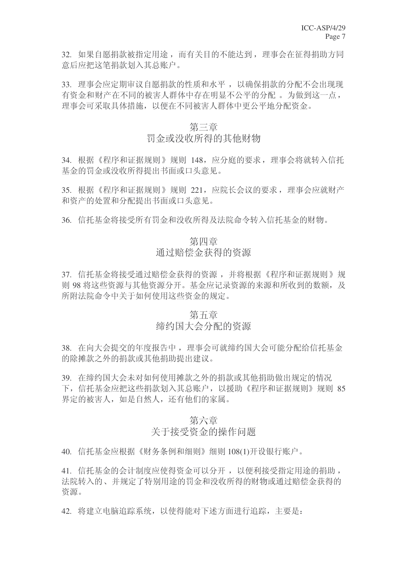32. 如果自愿捐款被指定用途, 而有关目的不能达到, 理事会在征得捐助方同 意后应把这笔捐款划入其总账户。

33. 理事会应定期审议自愿捐款的性质和水平, 以确保捐款的分配不会出现现 有资金和财产在不同的被害人群体中存在明显不公平的分配。为做到这一点, 理事会可采取具体措施, 以便在不同被害人群体中更公平地分配资金。

#### 第三章

## 罚金或没收所得的其他财物

34. 根据《程序和证据规则》规则 148, 应分庭的要求, 理事会将就转入信托 基金的罚金或没收所得提出书面或口头意见。

35. 根据《程序和证据规则》规则 221, 应院长会议的要求, 理事会应就财产 和资产的处置和分配提出书面或口头意见。

36. 信托基金将接受所有罚金和没收所得及法院命令转入信托基金的财物。

## 第四章 通讨赔偿杂得的资源

37. 信托基金将接受通过赔偿金获得的资源,并将根据《程序和证据规则》规 则 98 将这些资源与其他资源分开。基金应记录资源的来源和所收到的数额, 及 所附法院命令中关于如何使用这些资金的规定。

#### 第五章

## 缔约国大会分配的资源

38. 在向大会提交的年度报告中, 理事会可就缔约国大会可能分配给信托基金 的除摊款之外的捐款或其他捐助提出建议。

39. 在缔约国大会未对如何使用摊款之外的捐款或其他捐助做出规定的情况 下, 信托基金应把这些捐款划入其总账户, 以援助《程序和证据规则》规则 85 界定的被害人,如是自然人,还有他们的家属。

## 第六章 关于接受资金的操作问题

40. 信托基金应根据《财务条例和细则》细则 108(1)开设银行账户。

41. 信托基金的会计制度应使得资金可以分开, 以便利接受指定用途的捐助, 法院转入的、并规定了特别用途的罚金和没收所得的财物或通过赔偿金获得的 资源。

42. 将建立电脑追踪系统, 以使得能对下述方面讲行追踪, 主要是: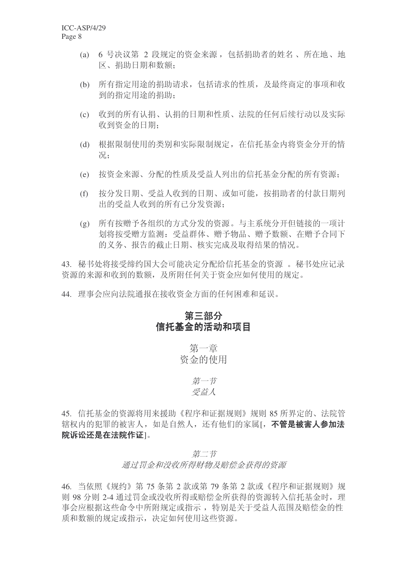- (a) 6 号决议第 2 段规定的资金来源, 包括捐助者的姓名、所在地、地 区、捐助日期和数额:
- (b) 所有指定用途的捐助请求, 包括请求的性质, 及最终商定的事项和收 到的指定用涂的捐助:
- (c) 收到的所有认捐、认捐的日期和性质、法院的任何后续行动以及实际 收到资金的日期:
- (d) 根据限制使用的类别和实际限制规定, 在信托基金内将资金分开的情 况:
- (e) 按资金来源、分配的性质及受益人列出的信托基金分配的所有资源:
- (f) 按分发日期、受益人收到的日期、或如可能, 按捐助者的付款日期列 出的受益人收到的所有已分发资源:
- (g) 所有按赠予各组织的方式分发的资源。与主系统分开但链接的一项计 划将按受赠方监测: 受益群体、赠予物品、赠予数额、在赠予合同下 的义务、报告的截止日期、核实完成及取得结果的情况。

43. 秘书处将接受缔约国大会可能决定分配给信托基金的资源。 秘书处应记录 资源的来源和收到的数额, 及所附任何关于资金应如何使用的规定。

44. 理事会应向法院通报在接收资金方面的任何困难和延误。

## 第三部分 信托基金的活动和项目

第一音 资金的使用

> 第一节 受益人

45. 信托基金的资源将用来援助《程序和证据规则》规则 85 所界定的、法院管 辖权内的犯罪的被害人,如是自然人,还有他们的家属[, 不管是被害人参加法 院诉讼还是在法院作证|。

第二节

通讨罚金和没收所得财物及赔偿金获得的资源

46. 当依照《规约》第 75 条第 2 款或第 79 条第 2 款或《程序和证据规则》规 则 98 分则 2-4 通过罚金或没收所得或赔偿金所获得的资源转入信托基金时, 理 事会应根据这些命令中所附规定或指示, 特别是关于受益人范围及赔偿金的性 质和数额的规定或指示, 决定如何使用这些资源。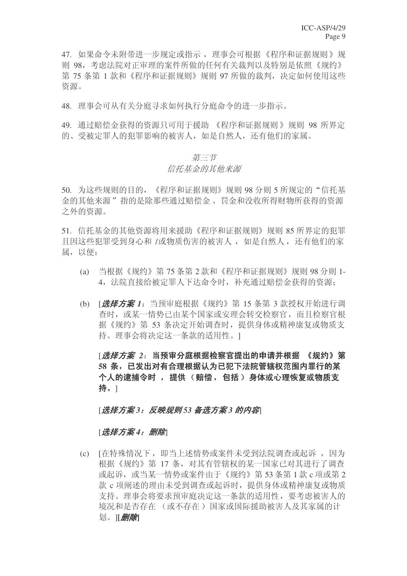47. 如果命令未附带进一步规定或指示, 理事会可根据《程序和证据规则》规 则 98. 考虑法院对正审理的案件所做的任何有关裁判以及特别是依照《规约》 第 75 条第 1 款和《程序和证据规则》规则 97 所做的裁判, 决定如何使用这些 资源。

48. 理事会可从有关分庭寻求如何执行分庭命令的讲一步指示。

49. 通过赔偿金获得的资源只可用于援助 《程序和证据规则》规则 98 所界定 的、受被定罪人的犯罪影响的被害人,如是自然人,还有他们的家属。

#### 第三节 信托基金的其他来源

50. 为这些规则的目的,《程序和证据规则》规则 98 分则 5 所规定的"信托基 金的其他来源"指的是除那些通过赔偿金、罚金和没收所得财物所获得的资源 之外的资源。

51. 信托基金的其他资源将用来援助《程序和证据规则》规则 85 所界定的犯罪 且因这些犯罪受到身心和 /或物质伤害的被害人, 如是自然人, 还有他们的家 属, 以便:

- (a) 当根据《规约》第 75 条第 2 款和《程序和证据规则》规则 98 分则 1-4. 法院直接给被定罪人下达命令时, 补充通过赔偿金获得的资源:
- (b) [ **选择方案** 1: 当预审庭根据《规约》第 15 条第 3 款授权开始讲行调 杳时, 或某一情势已由某个国家或安理会转交检察官, 而且检察官根 据《规约》第53 条决定开始调查时, 提供身体或精神康复或物质支 持。理事会将决定这一条款的适用性。1

**「***选择方案 2***:当预审分庭根据检察官提出的申请并根据 《规约》第** 58 条, 已发出对有合理根据认为已犯下法院管辖权范围内罪行的某 个人的逮捕令时, 提供(赔偿, 包括)身体或心理恢复或物质支 持。]

#### [选择方案3:反映规则53 备选方案3 的内容]

#### [选择方案4: 删除]

(c) [在特殊情况下, 即当上述情势或案件未受到法院调查或起诉, 因为 根据《规约》第 17 条, 对其有管辖权的某一国家已对其讲行了调杳 或起诉, 或当某一情势或案件由于《规约》第53条第1款 c 项或第2 款 c 项阐述的理由未受到调杳或起诉时, 提供身体或精神康复或物质 支持。理事会将要求预审庭决定这一条款的适用性,要考虑被害人的 境况和是否存在(或不存在) 国家或国际援助被害人及其家属的计 划。 **[ 删除]**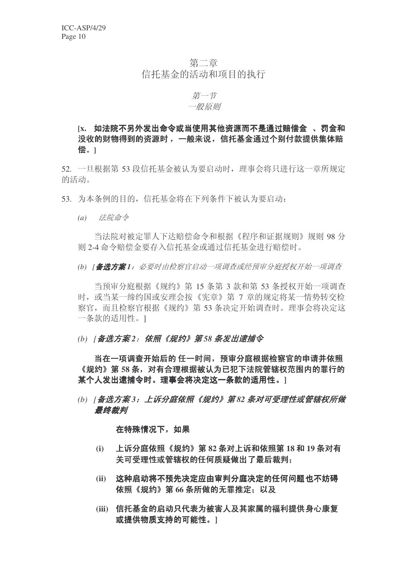## 第二章 信托基金的活动和项目的执行

#### 第一节 一般原则

## [x. 如法院不另外发出命令或当使用其他资源而不是诵过赔偿金 、罚金和 没收的财物得到的资源时, 一般来说, 信托基金通过个别付款提供集体赔 偿。1

52. 一旦根据第 53 段信托基金被认为要启动时, 理事会将只进行这一章所规定 的活动。

- 53. 为本条例的目的, 信托基金将在下列条件下被认为要启动:
	- (a) 法院命令

当法院对被定罪人下达赔偿命令和根据《程序和证据规则》规则 98 分 则 2-4 命令赔偿金要存入信托基金或通过信托基金进行赔偿时。

(b) [ **备选方案**1: 必要时由检察官启动一项调查或经预审分庭授权开始一项调查

当预审分庭根据《规约》第15 条第 3 款和第 53 条授权开始一项调杳 时, 或当某一缔约国或安理会按《宪章》第 7 章的规定将某一情势转交检 察官,而且检察官根据《规约》第53条决定开始调查时。理事会将决定这 一条款的适用性。1

#### *(b)* [备选方案2: 依照《规约》第58 条发出逮捕令

当在一项调查开始后的 任一时间, 预审分庭根据检察官的申请并依照 《规约》第 58 条,对有合理根据被认为已犯下法院管辖权范围内的罪行的 某个人发出逮捕令时。理事会将决定这一条款的适用性。1

(b) [备选方案3: 上诉分庭依照《规约》第82 条对可受理性或管辖权所做 最终裁判

在特殊情况下,如果

- (i) 上诉分庭依照《规约》第82 条对上诉和依照第18 和 19 条对有 关可受理性或管辖权的任何质疑做出了最后裁判;
- (ii) 这种启动将不预先决定应由审判分庭决定的任何问题也不妨碍 依照《规约》第66 条所做的无罪推定: 以及
- (iii) 信托基金的启动只代表为被害人及其家属的福利提供身心康复 **或提供物质支持的可能性。**〕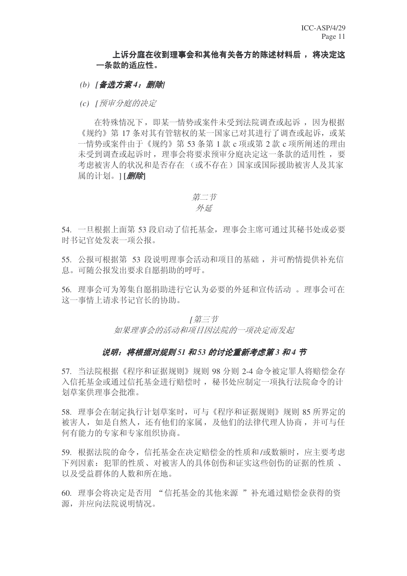#### 上诉分庭在收到理事会和其他有关各方的陈述材料后, 将决定这 一条款的话应性。

- *(b)* [备选方案4: 删除]
- *(c) [预审分庭的决定*

在特殊情况下, 即某一情势或案件未受到法院调杳或起诉, 因为根据 《规约》第17 条对其有管辖权的某一国家已对其讲行了调查或起诉, 或某 一情势或案件由于《规约》第53条第1款 c 项或第2款 c 项所阐述的理由 未受到调杳或起诉时, 理事会将要求预审分庭决定这一条款的适用性, 要 考虑被害人的状况和是否存在 (或不存在) 国家或国际援助被害人及其家 属的计划。1[*删除*]

Ѡ㡖 ᓊ

54. 一旦根据上面第 53 段启动了信托基金, 理事会主席可通过基秘书处或必要 时书记官处发表一项公报。

55. 公报可根据第 53 段说明理事会活动和项目的基础, 并可酌情提供补充信 息。可随公报发出要求自愿捐助的呼吁。

56. 理事会可为筹集自愿捐助进行它认为必要的外延和宣传活动。理事会可在 这一事情上请求书记官长的协助。

> $I$  第三 节 如果理事会的活动和项目因法院的一项决定而发起

#### 说明: 将根据对规则 51 和 53 的讨论重新考虑第 3 和 4 节

57. 当法院根据《程序和证据规则》规则 98 分则 2-4 命令被定罪人将赔偿金存 入信托基金或通过信托基金进行赔偿时, 秘书处应制定一项执行法院命令的计 划草案供理事会批准。

58. 理事会在制定执行计划草案时,可与《程序和证据规则》规则 85 所界定的 被害人, 如是自然人, 还有他们的家属, 及他们的法律代理人协商, 并可与任 何有能力的专家和专家组织协商。

59. 根据法院的命令, 信托基金在决定赔偿金的性质和/或数额时, 应主要考虑 下列因素: 犯罪的性质、对被害人的具体创伤和证实这些创伤的证据的性质、 以及受益群体的人数和所在地。

60. 理事会将决定是否用 "信托基金的其他来源 "补充通过赔偿金获得的资 源, 并应向法院说明情况。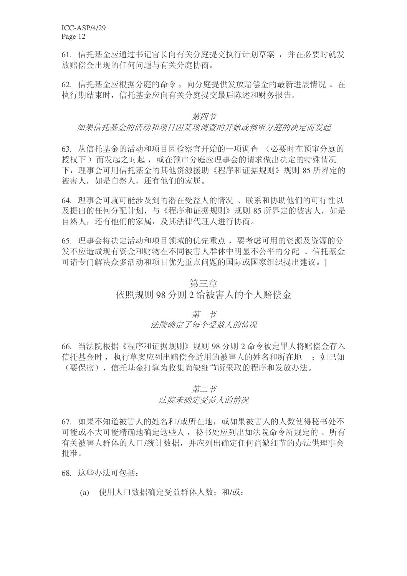ICC-ASP/4/29 Page 12

61. 信托基金应通过书记官长向有关分庭提交执行计划草案, 并在必要时就发 放赔偿金出现的任何问题与有关分庭协商。

62. 信托基金应根据分庭的命令, 向分庭提供发放赔偿金的最新进展情况。在 执行期结束时, 信托基金应向有关分庭提交最后陈述和财务报告。

#### 第四节

#### 如果信托基金的活动和项目因某项调查的开始或预审分庭的决定而发起

63. 从信托基金的活动和项目因检察官开始的一项调查 (必要时在预审分庭的 授权下)而发起之时起,或在预审分庭应理事会的请求做出决定的特殊情况 下, 理事会可用信托基金的其他资源援助《程序和证据规则》规则 85 所界定的 被害人, 如是自然人, 还有他们的家属。

64. 理事会可就可能涉及到的潜在受益人的情况、联系和协助他们的可行性以 及提出的任何分配计划,与《程序和证据规则》规则 85 所界定的被害人, 如是 自然人,还有他们的家属,及其法律代理人进行协商。

65. 理事会将决定活动和项目领域的优先重点, 要考虑可用的资源及资源的分 发不应造成现有资金和财物在不同被害人群体中明显不公平的分配。 信托基金 可请专门解决众多活动和项目优先重点问题的国际或国家组织提出建议。1

#### 第三章

#### 依照规则 98 分则 2 给被害人的个人赔偿金

第一节

#### 法院确定了每个受益人的情况

66. 当法院根据《程序和证据规则》规则 98 分则 2 命令被定罪人将赔偿金存入 信托基金时, 执行草案应列出赔偿金适用的被害人的姓名和所在地, 如已知 (要保密), 信托基金打算为收集尚缺细节所采取的程序和发放办法。

#### 第二节

#### 法院未确定受益人的情况

67. 如果不知道被害人的姓名和/或所在地, 或如果被害人的人数使得秘书处不 可能或不大可能精确地确定这些人, 秘书处应列出如法院命令所规定的、所有 有关被害人群体的人口/统计数据,并应列出确定任何尚缺细节的办法供理事会 批准。

68. 这些办法可包括:

(a) 使用人口数据确定受益群体人数: 和/或: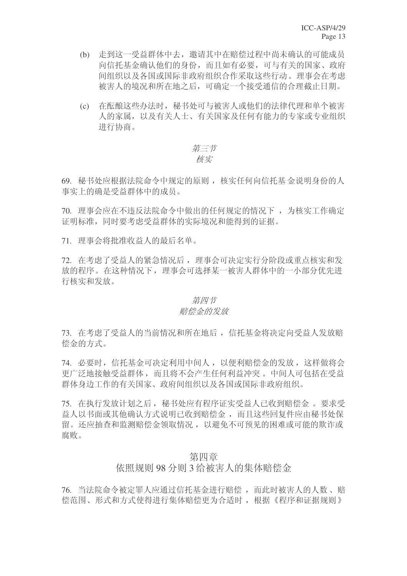- (b) 走到这一受益群体中去, 邀请其中在赔偿过程中尚未确认的可能成员 向信托基金确认他们的身份,而且如有必要,可与有关的国家、政府 间组织以及各国或国际非政府组织合作采取这些行动。理事会在考虑 被害人的境况和所在地之后,可确定一个接受通信的合理截止日期。
- (c) 在酝酿这些办法时, 秘书处可与被害人或他们的法律代理和单个被害 人的家属, 以及有关人士、有关国家及任何有能力的专家或专业组织 进行协商。

## 第三节 核实

69. 秘书处应根据法院命令中规定的原则, 核实任何向信托基金说明身份的人 事实上的确是受益群体中的成员。

70. 理事会应在不违反法院命令中做出的任何规定的情况下, 为核实工作确定 证明标准,同时要考虑受益群体的实际境况和能得到的证据。

71. 理事会将批准收益人的最后名单。

72. 在考虑了受益人的紧急情况后, 理事会可决定实行分阶段或重点核实和发 放的程序。在这种情况下, 理事会可选择某一被害人群体中的一小部分优先进 行核实和发放。

#### 第四节

#### 赔偿金的发放

73. 在考虑了受益人的当前情况和所在地后, 信托基金将决定向受益人发放赔 偿金的方式。

74. 必要时, 信托基金可决定利用中间人, 以便利赔偿金的发放, 这样做将会 更广泛地接触受益群体,而且将不会产生任何利益冲突。 中间人可包括在受益 群体身边工作的有关国家、政府间组织以及各国或国际非政府组织。

75. 在执行发放计划之后, 秘书处应有程序证实受益人已收到赔偿金。要求受 益人以书面或其他确认方式说明已收到赔偿金, 而且这些回复件应由秘书处保 留。还应抽杳和监测赔偿金领取情况, 以避免不可预见的困难或可能的欺诈或 腐败。

#### 第四章

#### 依照规则 98 分则 3 给被害人的集体赔偿金

76. 当法院命令被定罪人应通过信托基金进行赔偿,而此时被害人的人数、赔 偿范围、形式和方式使得进行集体赔偿更为合适时,根据 《程序和证据规则》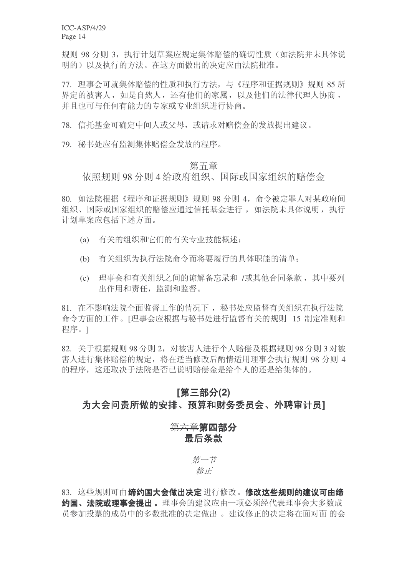ICC-ASP/4/29 Page 14

规则 98 分则 3, 执行计划草案应规定集体赔偿的确切性质(如法院并未具体说 明的)以及执行的方法。在这方面做出的决定应由法院批准。

77. 理事会可就集体赔偿的性质和执行方法,与《程序和证据规则》规则 85 所 界定的被害人,如是自然人,还有他们的家属,以及他们的法律代理人协商, 并且也可与任何有能力的专家或专业组织进行协商。

78. 信托基金可确定中间人或父母, 或请求对赔偿金的发放提出建议。

79. 秘书处应有监测集体赔偿金发放的程序。

#### 第五章

依照规则 98 分则 4 给政府组织、国际或国家组织的赔偿金

80. 如法院根据《程序和证据规则》规则 98 分则 4. 命令被定罪人对某政府间 组织、国际或国家组织的赔偿应通过信托基金讲行,如法院未具体说明,执行 计划草案应包括下述方面。

- (a) 有关的组织和它们的有关专业技能概述:
- (b) 有关组织为执行法院命令而将要履行的具体职能的清单:
- (c) 理事会和有关组织之间的谅解备忘录和 /或其他合同条款, 其中要列 出作用和责任, 监测和监督。

81. 在不影响法院全面监督工作的情况下, 秘书处应监督有关组织在执行法院 命令方面的工作。[理事会应根据与秘书处进行监督有关的规则 15 制定准则和 程序。1

82. 关于根据规则 98 分则 2, 对被害人讲行个人赔偿及根据规则 98 分则 3 对被 害人进行集体赔偿的规定, 将在适当修改后酌情适用理事会执行规则 98 分则 4 的程序, 这还取决于法院是否已说明赔偿金是给个人的还是给集体的。

# **(2)**ߚϝ䚼**[** 为大会问责所做的安排、预算和财务委员会、外聘审计员1

## 第六章第四部分 最后条款

第一节 修正

83. 这些规则可由**缔约国大会做出决定** 进行修改。修改这些规则的建议可由缔 约国、法院或理事会提出。理事会的建议应由一项必须经代表理事会大多数成 员参加投票的成员中的多数批准的决定做出。建议修正的决定将在面对面的会